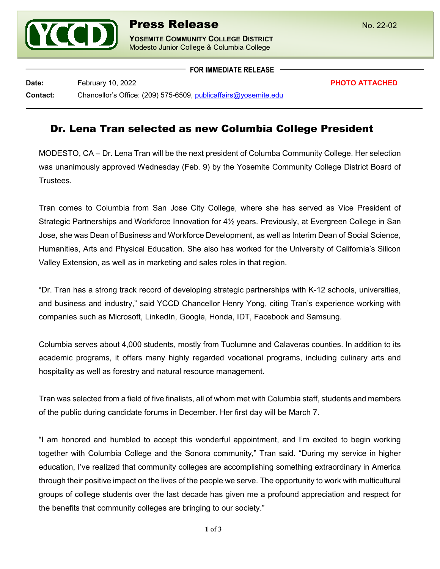

**FOR IMMEDIATE RELEASE**

**Date:** February 10, 2022 **PHOTO ATTACHED Contact:** Chancellor's Office: (209) 575-6509, [publicaffairs@yosemite.edu](mailto:publicaffairs@yosemite.edu)

## Dr. Lena Tran selected as new Columbia College President

MODESTO, CA – Dr. Lena Tran will be the next president of Columba Community College. Her selection was unanimously approved Wednesday (Feb. 9) by the Yosemite Community College District Board of **Trustees** 

Tran comes to Columbia from San Jose City College, where she has served as Vice President of Strategic Partnerships and Workforce Innovation for 4½ years. Previously, at Evergreen College in San Jose, she was Dean of Business and Workforce Development, as well as Interim Dean of Social Science, Humanities, Arts and Physical Education. She also has worked for the University of California's Silicon Valley Extension, as well as in marketing and sales roles in that region.

"Dr. Tran has a strong track record of developing strategic partnerships with K-12 schools, universities, and business and industry," said YCCD Chancellor Henry Yong, citing Tran's experience working with companies such as Microsoft, LinkedIn, Google, Honda, IDT, Facebook and Samsung.

Columbia serves about 4,000 students, mostly from Tuolumne and Calaveras counties. In addition to its academic programs, it offers many highly regarded vocational programs, including culinary arts and hospitality as well as forestry and natural resource management.

Tran was selected from a field of five finalists, all of whom met with Columbia staff, students and members of the public during candidate forums in December. Her first day will be March 7.

"I am honored and humbled to accept this wonderful appointment, and I'm excited to begin working together with Columbia College and the Sonora community," Tran said. "During my service in higher education, I've realized that community colleges are accomplishing something extraordinary in America through their positive impact on the lives of the people we serve. The opportunity to work with multicultural groups of college students over the last decade has given me a profound appreciation and respect for the benefits that community colleges are bringing to our society."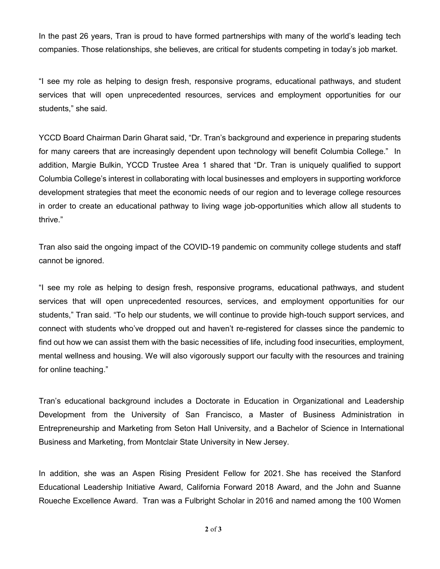In the past 26 years, Tran is proud to have formed partnerships with many of the world's leading tech companies. Those relationships, she believes, are critical for students competing in today's job market.

"I see my role as helping to design fresh, responsive programs, educational pathways, and student services that will open unprecedented resources, services and employment opportunities for our students," she said.

YCCD Board Chairman Darin Gharat said, "Dr. Tran's background and experience in preparing students for many careers that are increasingly dependent upon technology will benefit Columbia College." In addition, Margie Bulkin, YCCD Trustee Area 1 shared that "Dr. Tran is uniquely qualified to support Columbia College's interest in collaborating with local businesses and employers in supporting workforce development strategies that meet the economic needs of our region and to leverage college resources in order to create an educational pathway to living wage job-opportunities which allow all students to thrive."

Tran also said the ongoing impact of the COVID-19 pandemic on community college students and staff cannot be ignored.

"I see my role as helping to design fresh, responsive programs, educational pathways, and student services that will open unprecedented resources, services, and employment opportunities for our students," Tran said. "To help our students, we will continue to provide high-touch support services, and connect with students who've dropped out and haven't re-registered for classes since the pandemic to find out how we can assist them with the basic necessities of life, including food insecurities, employment, mental wellness and housing. We will also vigorously support our faculty with the resources and training for online teaching."

Tran's educational background includes a Doctorate in Education in Organizational and Leadership Development from the University of San Francisco, a Master of Business Administration in Entrepreneurship and Marketing from Seton Hall University, and a Bachelor of Science in International Business and Marketing, from Montclair State University in New Jersey.

In addition, she was an Aspen Rising President Fellow for 2021. She has received the Stanford Educational Leadership Initiative Award, California Forward 2018 Award, and the John and Suanne Roueche Excellence Award. Tran was a Fulbright Scholar in 2016 and named among the 100 Women

**2** of **3**